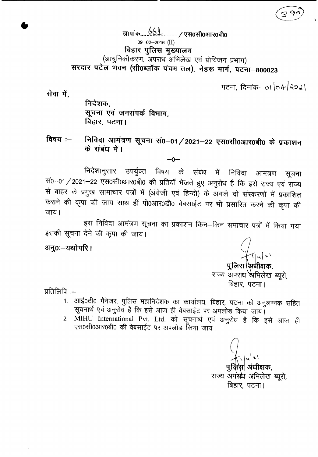\$IlqiCf)--...~.6.1....\_\_/~O~03TROifio 09-02-2016 (II) **बिहार पुलिस मुख्यालय** (आधुनिकीकरण, अपराध अभिलेख एवं प्रोविजन प्रभाग) ~~~I~ **-qtcrr 1=f<Ff (xfi06C'1lq)-q'q1J ocrr). -;t~ 1fPf. -qc;:rr-800023**

पटना, दिनांक– 01 **04 2021** 

सेवा में.

**•** 

निदेशक, सूचना एवं जनसंपर्क विभाग, **बिहार, पटना।** 

विषय :– निविदा आमंत्रण सूचना सं0–01/2021–22 एस0सी0आर0बी0 के प्रकाशन के संबंध में।

 $-0-$ 

निदेशानुसार उपर्युक्त विषय के संबंध में निविदा आमंत्रण सूचना सं0-01/2021-22 एस0सी0आर0बी0 की प्रतियॉ भेजते हुए अनुरोध है कि इसे राज्य एवं राज्य स बाहर के प्रमुख सामाचार पत्रों में (अंग्रेजी एवं हिन्दी) के अगले दो संस्करणों में प्रकाशित कराने की कृपा की जाय साथ हीं पी0आर0डी0 वेबसाईट पर भी प्रसारित करने की कृपा की  $\overline{3}$ जाय।

इस निविदा आमंत्रण सूचना का प्रकाशन किन–किन समाचार पत्रों में किया गया इसकी सूचना देने की कृपा की जाय।

अनु0ः-यथोपरि।

पुलिस \अधीक्षक,

राज्य अपराध अभिलेख ब्यूरो, बिहार, पटना।

प्रतिलिपि $:=$ 

- 1. आई0टी0 मैनेजर, पुलिस महानिदेशक का कार्यालय, बिहार, पटना को अनुलग्नक सहित सूचनार्थ एवं अनुरोध है कि इसे आज ही वेबसाईट पर अपलोड किया जाय।
- 2. MIHU International Pvt. Ltd. को सूचनार्थ एवं अनुरोध है कि इसे आज ही एस0सी0आर0बी0 की वेबसाईट पर अपलोड किया जाय।

स| अंधीक्षक. राज्य अपस्र्थ अभिलेख ब्यूरो, बिहार, पटना।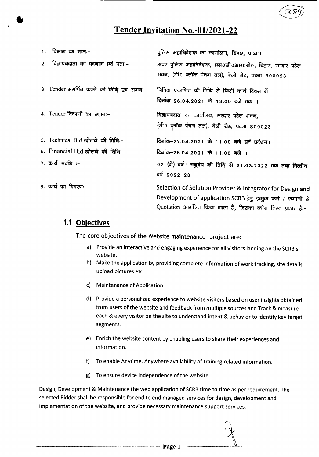# **Tender Invitation No.-Ol/2021-22**

| 1. विभाग का नामः–                        | पुलिस महानिदेशक का कार्यालय, बिहार, पटना।                                                                                                                                                     |
|------------------------------------------|-----------------------------------------------------------------------------------------------------------------------------------------------------------------------------------------------|
| 2. विज्ञापनदाता का पदनाम एवं पताः–       | अपर पुलिस महानिदेशक, एस0सी0आर0बी0, बिहार, सरदार पटेल<br>भवन, (सी0 ब्लॉक पंचम तल), बेली रोड, पटना 800023                                                                                       |
| 3. Tender समर्पित करने की तिथि एवं समय:- | निविदा प्रकाशित की तिथि से किसी कार्य दिवस में<br>दिनांक-26.04.2021 के 13.00 बजे तक ।                                                                                                         |
| 4. Tender विवरणी का स्थान:-              | विज्ञापनदाता का कार्यालय, सरदार पटेल भवन,<br>(सी0 ब्लॉक पंचम तल), बेली रोड, पटना 800023                                                                                                       |
| 5. Technical Bid खोलने की तिथिः-         | दिनांक-27.04.2021 के 11.00 बजे एवं प्रर्दशन।                                                                                                                                                  |
| 6. Financial Bid खोलने की तिथिः-         | दिनांक-28.04.2021 के 11.00 बजे ।                                                                                                                                                              |
| $7.$ कार्य अवधि :–                       | 02 (दो) वर्ष। अनुबंध की तिथि से 31.03.2022 तक तथा वित्तीय<br>वर्ष 2022-23                                                                                                                     |
| 8. कार्य का विवरणः–                      | Selection of Solution Provider & Integrator for Design and<br>Development of application SCRB हेतु इच्छुक फर्म / कम्पनी से<br>Quotation आमंत्रित किया जाता है, जिसका ब्योरा निम्न प्रकार है:- |

## **1.1 Objectives**

•

The core objectives of the Website maintenance project are:

- a) Provide an interactive and engaging experience for all visitors landing on the SCRB's website.
- b) Make the application by providing complete information of work tracking, site details, upload pictures etc.
- c) Maintenance of Application.
- d) Provide a personalized experience to website visitors based on user insights obtained from users of the website and feedback from multiple sources and Track & measure each & every visitor on the site to understand intent & behavior to identify key target segments.
- e) Enrich the website content by enabling users to share their experiences and information.
- f) To enable Anytime, Anywhere availability of training related information.
- g) To ensure device independence of the website.

Design, Development & Maintenance the web application of SCRB time to time as per requirement. The selected Bidder shall be responsible for end to end managed services for design, development and implementation of the website, and provide necessarymaintenance support services.

Page 1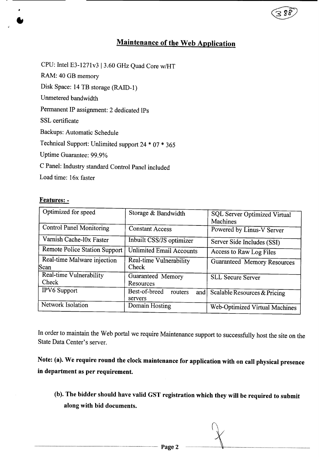# Maintenance of the Web Application

CPU: Intel E3-1271v3 13.60 GHz Quad Core *wlHT*

RAM: 40 GB memory

Disk Space: 14 TB storage (RAID-I)

Unmetered bandwidth

Permanent IP assignment: 2 dedicated IPs

SSL certificate

•<br>●

Backups: Automatic Schedule

Technical Support: Unlimited support 24 \* 07 \* 365

Uptime Guarantee: 99.9%

C Panel: Industry standard Control Panel included

Load time: 16x faster

#### Features: -

| Optimized for speed             |                                 |                                     |
|---------------------------------|---------------------------------|-------------------------------------|
|                                 | Storage & Bandwidth             | <b>SQL Server Optimized Virtual</b> |
|                                 |                                 | Machines                            |
| <b>Control Panel Monitoring</b> |                                 |                                     |
|                                 | <b>Constant Access</b>          | Powered by Linus-V Server           |
| Varnish Cache-l0x Faster        |                                 |                                     |
|                                 | Inbuilt CSS/JS optimizer        | Server Side Includes (SSI)          |
| Remote Police Station Support   | <b>Unlimited Email Accounts</b> |                                     |
|                                 |                                 | Access to Raw Log Files             |
| Real-time Malware injection     | Real-time Vulnerability         | <b>Guaranteed Memory Resources</b>  |
| Scan                            | Check                           |                                     |
| Real-time Vulnerability         | Guaranteed Memory               |                                     |
|                                 |                                 | <b>SLL Secure Server</b>            |
| Check                           | Resources                       |                                     |
| IPV6 Support                    | Best-of-breed<br>routers<br>and | Scalable Resources & Pricing        |
|                                 |                                 |                                     |
|                                 | servers                         |                                     |
| Network Isolation               | Domain Hosting                  | Web-Optimized Virtual Machines      |
|                                 |                                 |                                     |

In order to maintain the Web portal we require Maintenance support to successfully host the site on the State Data Center's server.

Note: (a). We require round the clock maintenance for application with on call physical presence in department as per requirement.

(b). The bidder should have valid GST registration which they will be required to submit along with bid documents.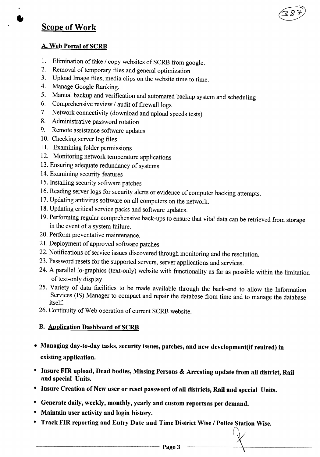# Scope of Work

•<br>●

## A. Web Portal of SCRB

- 1. Elimination of fake / copy websites of SCRB from google.
- 2. Removal of temporary files and general optimization
- 3. Upload Image files, media clips on the website time to time.
- 4. Manage Google Ranking.
- 5. Manual backup and verification and automated backup system and scheduling
- 6. Comprehensive review / audit of firewall logs
- 7. Network connectivity (download and upload speeds tests)
- 8. Administrative password rotation
- 9. Remote assistance software updates
- 10. Checking server log files
- 11. Examining folder permissions
- 12. Monitoring network temperature applications
- 13.Ensuring adequate redundancy of systems
- 14.Examining security features
- 15.Installing security software patches
- 16.Reading server logs for security alerts or evidence of computer hacking attempts.
- 17.Updating antivirus software on all computers on the network.
- 18.Updating critical service packs and software updates.
- 19.Performing regular comprehensive back-ups to ensure that vital data can be retrieved from storage in the event of a system failure.
- 20. Perform preventative maintenance.
- 21. Deployment of approved software patches
- 22. Notifications of service issues discovered through monitoring and the resolution.
- 23. Password resets for the supported servers, server applications and services.
- 24. A parallel lo-graphics (text-only) website with functionality as far as possible within the limitation of text-only display
- 25. Variety of data facilities to be made available through the back-end to allow the Information Services (IS) Manager to compact and repair the database from time and to manage the database itself.
- 26. Continuity of Web operation of current SCRB website.

## B. Application Dashboard of SCRB

- Managing day-to-day tasks, security issues, patches, and new development(if reuired) in existing application.
- Insure FIR upload, Dead bodies, Missing Persons & Arresting update from all district, Rail and special Units.
- Insure Creation of New user or reset password of all districts, Rail and special Units.
- Generate daily, weekly, monthly, yearly and custom reportsas per demand.
- Maintain user activity and login history.
- Track FIR reporting and Entry Date and Time District Wise / Police Station Wise.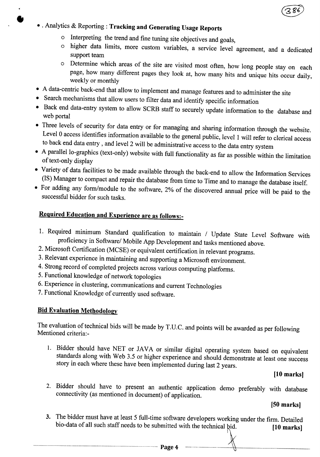

- • . Analytics & Reporting: Tracking and Generating Usage Reports
	- o Interpreting the trend and fine tuning site objectives and goals,
	- o higher data limits, more custom variables, a service level agreement, and a dedicated support team
	- o Determine which areas of the site are visited most often, how long people stay on each page, how many different pages they look at, how many hits and unique hits occur daily, weekly or monthly
- A data-centric back-end that allow to implement and manage features and to administer the site
- Search mechanisms that allow users to filter data and identify specific information
- Back end data-entry system to allow SCRB staff to securely update information to the database and web portal
- Three levels of security for data entry or for managing and sharing information through the website. Level 0 access identifies information available to the general public, level 1 will refer to clerical access to back end data entry, and level 2 will be administrative access to the data entry system
- A parallel lo-graphics (text-only) website with full functionality as far as possible within the limitation of text-only display
- Variety of data facilities to be made available through the back-end to allow the Information Services (IS) Manager to compact and repair the database from time to Time and to manage the database itself.
- For adding any form/module to the software, 2% of the discovered annual price will be paid to the successful bidder for such tasks.

## Required Education and Experience are as follows:-

- 1. Required minimum Standard qualification to maintain / Update State Level Software with proficiency in Software/ Mobile App Development and tasks mentioned above.
- 2. Microsoft Certification (MCSE) or equivalent certification in relevant programs.
- 3. Relevant experience in maintaining and supporting a Microsoft environment.
- 4. Strong record of completed projects across various computing platforms.
- 5. Functional knowledge of network topologies
- 6. Experience in clustering, communications and current Technologies
- 7. Functional Knowledge of currently used software.

## Bid Evaluation Methodology

The evaluation of technical bids will be made by T.U.C. and points will be awarded as per following Mentioned criteria:-

1. Bidder should have NET or JAVA or similar digital operating system based on equivalent standards along with Web 3.5 or higher experience and should demonstrate at least one success story in each where these have been implemented during last 2 years.

## [10 marks]

2. Bidder should have to present an authentic application demo preferably with database connectivity (as mentioned in document) of application.

[50 marks]

3. The bidder must have at least 5 full-time software developers working under the firm. Detailed bio-data of all such staff needs to be submitted with the technical bid.  $[10 \text{ marks}]$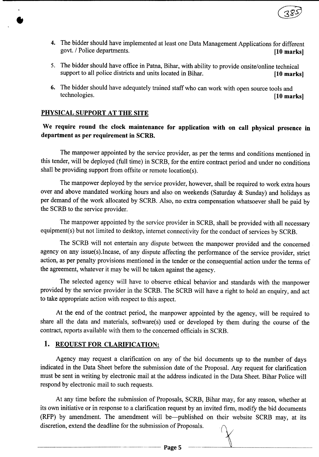

- 4. The bidder should have implemented at least one Data Management Applications for different govt. / Police departments. [10 marks]
- 5. The bidder should have office in Patna, Bihar, with ability to provide onsite/online technical support to all police districts and units located in Bihar. [10 marks]
- 6. The bidder should have adequately trained staff who can work with open source tools and technologies. [10 marks]

#### PHYSICAL SUPPORT AT THE SITE

•<br>●

### We require round the clock maintenance for application with on call physical presence in department as per requirement in SCRB.

The manpower appointed by the service provider, as per the terms and conditions mentioned in this tender, will be deployed (full time) in SCRB, for the entire contract period and under no conditions shall be providing support from offsite or remote location(s).

The manpower deployed by the service provider, however, shall be required to work extra hours over and above mandated working hours and also on weekends (Saturday  $\&$  Sunday) and holidays as per demand of the work allocated by SCRB. Also, no extra compensation whatsoever shall be paid by the SCRB to the service provider.

The manpower appointed by the service provider in SCRB, shall be provided with all necessary equipment(s) but not limited to desktop, internet connectivity for the conduct of services by SCRB.

The SCRB will not entertain any dispute between the manpower provided and the concerned agency on any issue(s).Incase, of any dispute affecting the performance of the service provider, strict action, as per penalty provisions mentioned in the tender or the consequential action under the terms of the agreement, whatever it may be will be taken against the agency.

The selected agency will have to observe ethical behavior and standards with the manpower provided by the service provider in the SCRB. The SCRB will have a right to hold an enquiry, and act to take appropriate action with respect to this aspect.

At the end of the contract period, the manpower appointed by the agency, will be required to share all the data and materials, software(s) used or developed by them during the course of the contract, reports available with them to the concerned officials in SCRB.

#### 1. REQUEST FOR CLARIFICATION:

Agency may request a clarification on any of the bid documents up to the number of days indicated in the Data Sheet before the submission date of the Proposal. Any request for clarification must be sent in writing by electronic mail at the address indicated in the Data Sheet. Bihar Police will respond by electronic mail to such requests.

At any time before the submission of Proposals, SCRB, Bihar may, for any reason, whether at its own initiative or in response to a clarification request by an invited firm, modify the bid documents (RFP) by amendment. The amendment will be—published on their website SCRB may, at its discretion, extend the deadline for the submission of Proposals.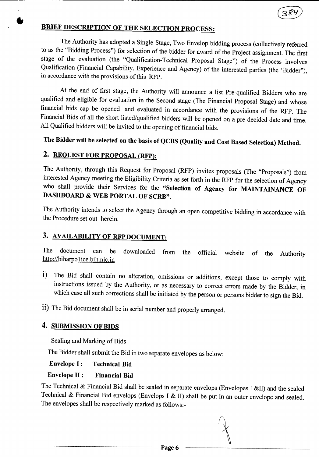# BRIEF DESCRIPTION OF THE SELECTION PROCESS:

The Authority has adopted a Single-Stage, Two Envelop bidding process (collectively referred to as the "Bidding Process") for selection of the bidder for award of the Project assignment. The first stage of the evaluation (the "Qualification-Technical Proposal Stage") of the Process involves Qualification (Financial Capability, Experience and Agency) of the interested parties (the 'Bidder"), in accordance with the provisions of this RFP.

At the end of first stage, the Authority will announce a list Pre-qualified Bidders who are qualified and eligible for evaluation in the Second stage (The Financial Proposal Stage) and whose financial bids cap be opened and evaluated in accordance with the provisions of the RFP. The Financial Bids of all the short listed/qualified bidders will be opened on a pre-decided date and time. All Qualified bidders will be invited to the opening of financial bids.

# The Bidder will be selected on the basis of QCBS (Quality and Cost Based Selection) Method.

## 2. REQUEST FOR PROPOSAL (RFP):

•<br>●

The Authority, through this Request for Proposal (RFP) invites proposals (The "Proposals") from interested Agency meeting the Eligibility Criteria as set forth in the RFP for the selection of Agency who shall provide their Services for the "Selection of Agency for MAINTAINANCE OF DASHBOARD & WEB PORTAL OF SCRB".

The Authority intends to select the Agency through an open competitive bidding in accordance with the Procedure set out herein.

## 3. AVAILABILITY OF RFP DOCUMENT:

The document can be downloaded from the official website of the Authority http://biharpol ice.bih.nic.in

- i) The Bid shall contain no alteration, omissions or additions, except those to comply with instructions issued by the Authority, or as necessary to correct errors made by the Bidder, in which case all such corrections shall be initiated by the person or persons bidder to sign the Bid.
- ii) The Bid document shall be in serial number and properly arranged.

## 4. SUBMISSION OF BIDS

Sealing and Marking of Bids

The Bidder shall submit the Bid in two separate envelopes as below:

Envelope I: Technical Bid

### Envelope II : Financial Bid

The Technical & Financial Bid shall be sealed in separate envelops (Envelopes I &II) and the sealed Technical & Financial Bid envelops (Envelops I & II) shall be put in an outer envelope and sealed. The envelopes shall be respectively marked as follows:-

Page 6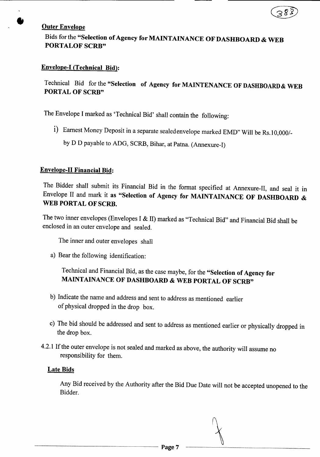

#### **Outer Envelope**

## Bids for the "Selection of Agency for MAINTAINANCE OF DASHBOARD & WEB PORTALOF SCRB"

#### Envelope-I (Technical Bid):

## Technical Bid for the "Selection of Agency for MAINTENANCE OF DASHBOARD& WEB PORTAL OF SCRB"

The Envelope I marked as 'Technical Bid' shall contain the following:

- i) Earnest Money Deposit in a separate sealedenvelope marked EMD" Will be Rs.l *0,0001*
	- by D D payable to ADG, SCRB, Bihar, at Patna. (Annexure-I)

#### Envelope-II Financial Bid:

The Bidder shall submit its Financial Bid in the format specified at Annexure-II, and seal it in Envelope II and mark it as "Selection of Agency for MAINTAINANCE OF DASHBOARD & WEB PORTAL OF SCRB.

The two inner envelopes (Envelopes I & II) marked as "Technical Bid" and Financial Bid shall be enclosed in an outer envelope and sealed.

The inner and outer envelopes shall

a) Bear the following identification:

Technical and Financial Bid, as the case maybe, for the "Selection of Agency for MAINTAINANCE OF DASHBOARD & WEB PORTAL OF SCRB"

- b) Indicate the name and address and sent to address as mentioned earlier of physical dropped in the drop box.
- c) The bid should be addressed and sent to address as mentioned earlier or physically dropped in the drop box.
- 4.2.1 If the outer envelope is not sealed and marked as above, the authority will assume no responsibility for them.

#### Late Bids

Any Bid received by the Authority after the Bid Due Date will not be accepted unopened to the Bidder.

Page 7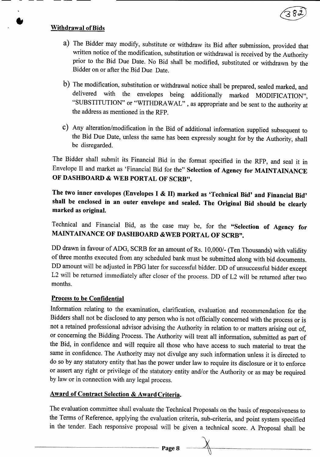

## Withdrawal ofBids

•<br>●

- a) The Bidder may modify, substitute or withdraw its Bid after submission, provided that written notice of the modification, substitution or withdrawal is received by the Authority prior to the Bid Due Date. No Bid shall be modified, substituted or withdrawn by the Bidder on or after the Bid Due Date.
- b) The modification, substitution or withdrawal notice shall be prepared, sealed marked, and delivered with the envelopes being additionally marked MODIFICATION", "SUBSTITUTION" or "WITHDRAWAL" , as appropriate and be sent to the authority at the address as mentioned in the RFP.
- c) Any alteration/modification in the Bid of additional information supplied subsequent to the Bid Due Date, unless the same has been expressly sought for by the Authority, shall be disregarded.

The Bidder shall submit its Financial Bid in the format specified in the RFP, and seal it in Envelope II and market as 'Financial Bid for the" Selection of Agency for MAINTAINANCE OF DASHBOARD & WEB PORTAL OF SCRB".

The two inner envelopes (Envelopes I & II) marked as 'Technical Bid' and Financial Bid' shall be enclosed in an outer envelope and sealed. The Original Bid should be clearly marked as original.

Technical and Financial Bid, as the case may be, for the "Selection of Agency for MAINTAINANCE OF DASHBOARD &WEB PORTAL OF SCRB".

DD drawn in favour of ADG, SCRB for an amount of Rs. 10,000/- (Ten Thousands) with validity of three months executed from any scheduled bank must be submitted along with bid documents. DD amount will be adjusted in PBG later for successful bidder. DD of unsuccessful bidder except L2 will be returned immediately after closer of the process. DD of L2 will be returned after two months.

#### Process to be Confidential

Information relating to the examination, clarification, evaluation and recommendation for the Bidders shall not be disclosed to any person who is not officially concerned with the process or is not a retained professional advisor advising the Authority in relation to or matters arising out of, or concerning the Bidding Process. The Authority will treat all information, submitted as part of the Bid, in confidence and will require all those who have access to such material to treat the same in confidence. The Authority may not divulge any such information unless it is directed to do so by any statutory entity that has the power under law to require its disclosure or it to enforce or assert any right or privilege of the statutory entity and/or the Authority or as may be required by law or in connection with any legal process.

#### Award of Contract Selection & Award Criteria.

The evaluation committee shall evaluate the Technical Proposals on the basis of responsiveness to the Terms of Reference, applying the evaluation criteria, sub-criteria, and point system specified in the tender. Each responsive proposal will be given a technical score. A Proposal shall be

Page 8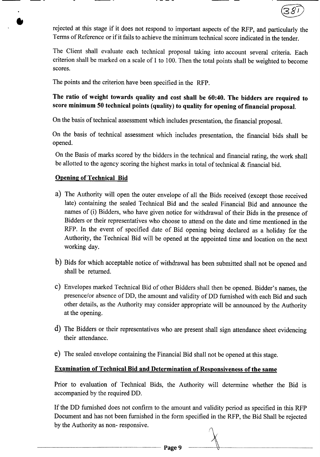

rejected at this stage if it does not respond to important aspects of the RFP, and particularly the Terms of Reference or if it fails to achieve the minimum technical score indicated in the tender.

The Client shall evaluate each technical proposal taking into account several criteria. Each criterion shall be marked on a scale of 1 to 100.Then the total points shall be weighted to become scores.

The points and the criterion have been specified in the RFP.

## The ratio of weight towards quality and cost shall be 60:40. The bidders are required to score minimum 50 technical points (quality) to quality for opening of financial proposal.

On the basis of technical assessment which includes presentation, the financial proposal.

On the basis of technical assessment which includes presentation, the financial bids shall be opened.

On the Basis of marks scored by the bidders in the technical and financial rating, the work shall be allotted to the agency scoring the highest marks in total of technical & financial bid.

#### Opening of Technical Bid

•<br>●

- a) The Authority will open the outer envelope of all the Bids received (except those received late) containing the sealed Technical Bid and the sealed Financial Bid and announce the names of (i) Bidders, who have given notice for withdrawal of their Bids in the presence of Bidders or their representatives who choose to attend on the date and time mentioned in the RFP. In the event of specified date of Bid opening being declared as a holiday for the Authority, the Technical Bid will be opened at the appointed time and location on the next working day.
- b) Bids for which acceptable notice of withdrawal has been submitted shall not be opened and shall be returned.
- c) Envelopes marked Technical Bid of other Bidders shall then be opened. Bidder's names, the presence/or absence of DD, the amount and validity of DD furnished with each Bid and such other details, as the Authority may consider appropriate will be announced by the Authority at the opening.
- d) The Bidders or their representatives who are present shall sign attendance sheet evidencing their attendance.
- e) The sealed envelope containing the Financial Bid shall not be opened at this stage.

## Examination of Technical Bid and Determination of Responsiveness of the same

Prior to evaluation of Technical Bids, the Authority will determine whether the Bid is accompanied by the required DD.

If the DD furnished does not confirm to the amount and validity period as specified in this RFP Document and has not been furnished in the form specified in the RFP, the Bid Shall be rejected by the Authority as non- responsive.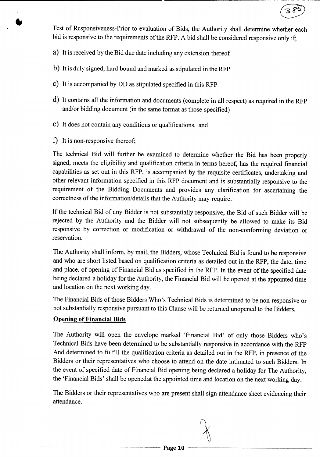Test of Responsiveness-Prior to evaluation of Bids, the Authority shall determine whether each bid is responsive to the requirements of the RFP. A bid shall be considered responsive only if;

 $380$ 

- a) It is received by the Bid due date including any extension thereof
- b) It is duly signed, hard bound and marked as stipulated in the RFP
- c) It is accompanied by DD as stipulated specified in this RFP
- d) It contains all the information and documents (complete in all respect) as required in the RFP and/or bidding document (in the same format as those specified)
- e) It does not contain any conditions or qualifications, and
- f) It is non-responsive thereof;

•<br>●<br>•

The technical Bid will further be examined to determine whether the Bid has been properly signed, meets the eligibility and qualification criteria in terms hereof, has the required financial capabilities as set out in this RFP, is accompanied by the requisite certificates, undertaking and other relevant information specified in this RFP document and is substantially responsive to the requirement of the Bidding Documents and provides any clarification for ascertaining the correctness of the information/details that the Authority may require.

If the technical Bid of any Bidder is not substantially responsive, the Bid of such Bidder will be rejected by the Authority and the Bidder will not subsequently be allowed to make its Bid responsive by correction or modification or withdrawal of the non-conforming deviation or reservation.

The Authority shall inform, by mail, the Bidders, whose Technical Bid is found to be responsive and who are short listed based on qualification criteria as detailed out in the RFP, the date, time and place. of opening of Financial Bid as specified in the RFP. In the event of the specified date being declared a holiday for the Authority, the Financial Bid will be opened at the appointed time and location on the next working day.

The Financial Bids of those Bidders Who's Technical Bids is determined to be non-responsive or not substantially responsive pursuant to this Clause will be returned unopened to the Bidders.

## **Opening of Financial Bids**

The Authority will open the envelope marked 'Financial Bid' of only those Bidders who's Technical Bids have been determined to be substantially responsive in accordance with the RFP And determined to fulfill the qualification criteria as detailed out in the RFP, in presence of the Bidders or their representatives who choose to attend on the date intimated to such Bidders. In the event of specified date of Financial Bid opening being declared a holiday for The Authority, the 'Financial Bids' shall be openedat the appointed time and location on the next working day.

The Bidders or their representatives who are present shall sign attendance sheet evidencing their attendance.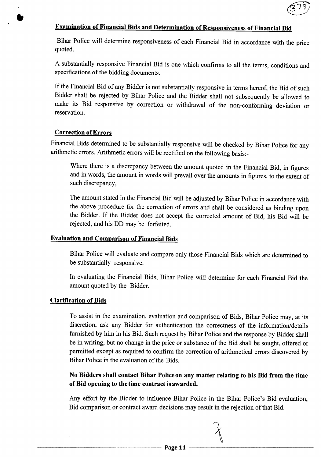

## Examination of Financial Bids and Determination of Responsiveness of Financial Bid

Bihar Police will determine responsiveness of each Financial Bid in accordance with the price quoted.

A substantially responsive Financial Bid is one which confirms to all the terms, conditions and specifications of the bidding documents.

If the Financial Bid of any Bidder is not substantially responsive in terms hereof, the Bid of such Bidder shall be rejected by Bihar Police and the Bidder shall not subsequently be allowed to make its Bid responsive by correction or withdrawal of the non-conforming deviation or reservation.

#### Correction ofErrors

•<br>●

Financial Bids determined to be substantially responsive will be checked by Bihar Police for any arithmetic errors. Arithmetic errors will be rectified on the following basis:-

Where there is a discrepancy between the amount quoted in the Financial Bid, in figures and in words, the amount in words will prevail over the amounts in figures, to the extent of such discrepancy,

The amount stated in the Financial Bid will be adjusted by Bihar Police in accordance with the above procedure for the correction of errors and shall be considered as binding upon the Bidder. If the Bidder does not accept the corrected amount of Bid, his Bid will be rejected, and his DD may be forfeited.

#### Evaluation and Comparison of Financial Bids

Bihar Police will evaluate and compare only those Financial Bids which are determined to be substantially responsive.

In evaluating the Financial Bids, Bihar Police will determine for each Financial Bid the amount quoted by the Bidder.

#### Clarification of Bids

To assist in the examination, evaluation and comparison of Bids, Bihar Police may, at its discretion, ask any Bidder for authentication the correctness of the information/details furnished by him in his Bid. Such request by Bihar Police and the response by Bidder shall be in writing, but no change in the price or substance of the Bid shall be sought, offered or permitted except as required to confirm the correction of arithmetical errors discovered by Bihar Police in the evaluation of the Bids.

## No Bidders shall contact Bihar Police on any matter relating to his Bid from the time of Bid opening to the time contract is awarded.

Any effort by the Bidder to influence Bihar Police in the Bihar Police's Bid evaluation, Bid comparison or contract award decisions may result in the rejection of that Bid.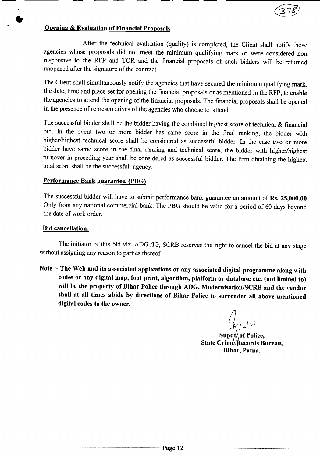

## Opening & Evaluation of Financial Proposals

After the technical evaluation (quality) is completed, the Client shall notify those agencies whose proposals did not meet the minimum qualifying mark or were considered non responsive to the RFP and TOR and the financial proposals of such bidders will be returned unopened after the signature of the contract.

The Client shall simultaneously notify the agencies that have secured the minimum qualifying mark, the date, time and place set for opening the financial proposals or as mentioned in the RFP, to enable the agencies to attend the opening of the financial proposals. The financial proposals shall be opened in the presence of representatives of the agencies who choose to attend.

The successful bidder shall be the bidder having the combined highest score of technical  $\&$  financial bid. In the event two or more bidder has same score in the final ranking, the bidder with higher/highest technical score shall be considered as successful bidder. In the case two or more bidder have same score in the final ranking and technical score, the bidder with higher/highest turnover in preceding year shall be considered as successful bidder. The firm obtaining the highest total score shall be the successful agency.

#### Performance Bank guarantee. (PBG)

The successful bidder will have to submit performance bank guarantee an amount of Rs. 25,000.00 Only from any national commercial bank. The PBG should be valid for a period of 60 days beyond the date of work order.

#### Bid cancellation:

•<br>●

The initiator of this bid viz. ADG /IG, SCRB reserves the right to cancel the bid at any stage without assigning any reason to parties thereof

Note :- The Web and its associated applications or any associated digital programme along with codes or any digital map, foot print, algorithm, platform or database etc. (not limited to) will be the property of Bihar Police through ADG, Modernisation/SCRB and the vendor shall at all times abide by directions of Bihar Police to surrender all above mentioned digital codes to the owner.

Supdt. of Police. State Crime Records Bureau, Bihar, Patna.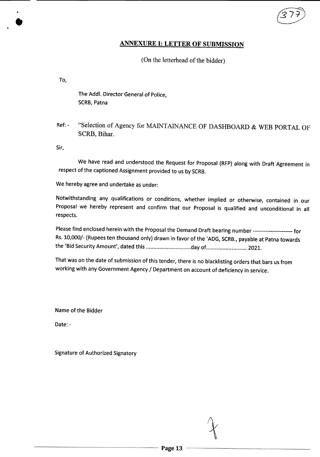#### ANNEXURE I: LETTER OF SUBMISSION

#### (On the letterhead of the bidder)

To,

•<br>●

The Addl. Director General of Police, SCRB, Patna

Ref: - "Selection of Agency for MAINTAINANCE OF DASHBOARD & WEB PORTAL OF SCRB, Bihar.

Sir,

We have read and understood the Request for Proposal (RFP) along with Draft Agreement in respect of the captioned Assignment provided to us by SCRB.

We hereby agree and undertake as under:

Notwithstanding any qualifications or conditions, whether implied or otherwise, contained in our Proposal we hereby represent and confirm that our Proposal is qualified and unconditional in all respects.

Please find enclosed herein with the Proposal the Demand Draft bearing number ---------------------- for Rs. 10,000/- (Rupees ten thousand only) drawn in favor of the 'ADG, SCRB., payable at Patna towards the 'Bid Security Amount', dated this ............................day of .......................... 2021.

That was on the date of submission of this tender, there is no blacklisting orders that bars usfrom working with any Government Agency/ Department on account of deficiency in service.

Nameof the Bidder

Date: -

Signature of Authorized Signatory